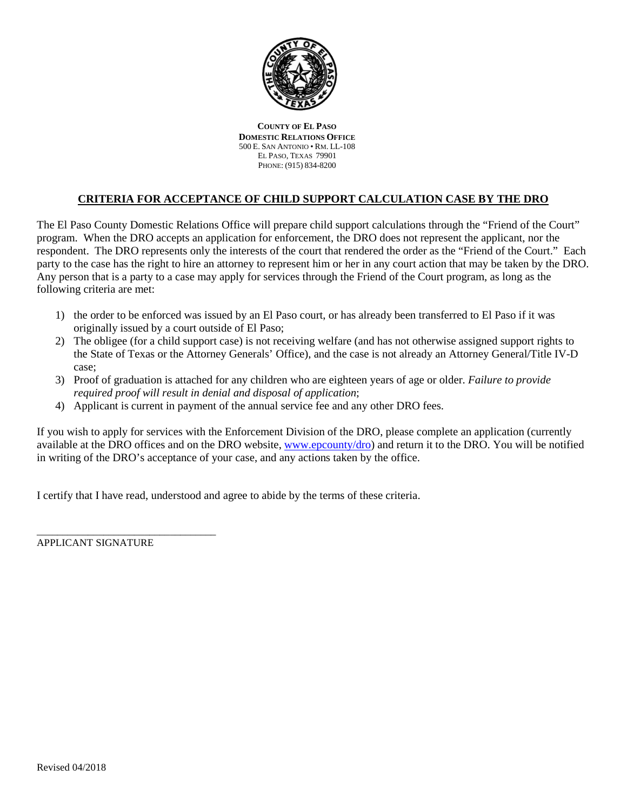

**COUNTY OF EL PASO DOMESTIC RELATIONS OFFICE** 500 E. SAN ANTONIO • RM. LL-108 EL PASO, TEXAS 79901 PHONE: (915) 834-8200

# **CRITERIA FOR ACCEPTANCE OF CHILD SUPPORT CALCULATION CASE BY THE DRO**

The El Paso County Domestic Relations Office will prepare child support calculations through the "Friend of the Court" program. When the DRO accepts an application for enforcement, the DRO does not represent the applicant, nor the respondent. The DRO represents only the interests of the court that rendered the order as the "Friend of the Court." Each party to the case has the right to hire an attorney to represent him or her in any court action that may be taken by the DRO. Any person that is a party to a case may apply for services through the Friend of the Court program, as long as the following criteria are met:

- 1) the order to be enforced was issued by an El Paso court, or has already been transferred to El Paso if it was originally issued by a court outside of El Paso;
- 2) The obligee (for a child support case) is not receiving welfare (and has not otherwise assigned support rights to the State of Texas or the Attorney Generals' Office), and the case is not already an Attorney General/Title IV-D case;
- 3) Proof of graduation is attached for any children who are eighteen years of age or older. *Failure to provide required proof will result in denial and disposal of application*;
- 4) Applicant is current in payment of the annual service fee and any other DRO fees.

If you wish to apply for services with the Enforcement Division of the DRO, please complete an application (currently available at the DRO offices and on the DRO website, www.epcounty/dro) and return it to the DRO. You will be notified in writing of the DRO's acceptance of your case, and any actions taken by the office.

I certify that I have read, understood and agree to abide by the terms of these criteria.

APPLICANT SIGNATURE

\_\_\_\_\_\_\_\_\_\_\_\_\_\_\_\_\_\_\_\_\_\_\_\_\_\_\_\_\_\_\_\_\_\_\_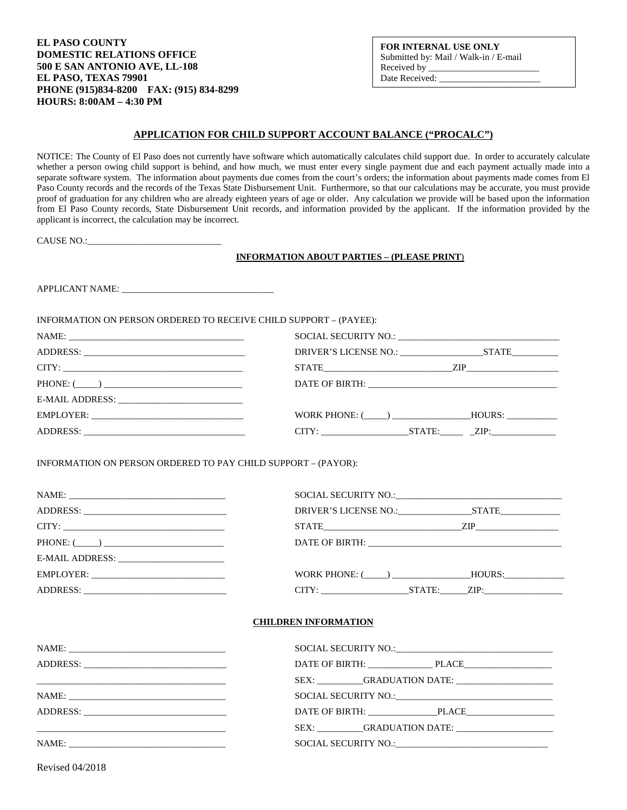**EL PASO COUNTY DOMESTIC RELATIONS OFFICE 500 E SAN ANTONIO AVE, LL-108 EL PASO, TEXAS 79901 PHONE (915)834-8200 FAX: (915) 834-8299 HOURS: 8:00AM – 4:30 PM** 

#### **FOR INTERNAL USE ONLY** Submitted by: Mail / Walk-in / E-mail Received by Date Received:

## **APPLICATION FOR CHILD SUPPORT ACCOUNT BALANCE ("PROCALC")**

NOTICE: The County of El Paso does not currently have software which automatically calculates child support due. In order to accurately calculate whether a person owing child support is behind, and how much, we must enter every single payment due and each payment actually made into a separate software system. The information about payments due comes from the court's orders; the information about payments made comes from El Paso County records and the records of the Texas State Disbursement Unit. Furthermore, so that our calculations may be accurate, you must provide proof of graduation for any children who are already eighteen years of age or older. Any calculation we provide will be based upon the information from El Paso County records, State Disbursement Unit records, and information provided by the applicant. If the information provided by the applicant is incorrect, the calculation may be incorrect.

CAUSE NO.:\_\_\_\_\_\_\_\_\_\_\_\_\_\_\_\_\_\_\_\_\_\_\_\_\_\_\_\_\_

#### **INFORMATION ABOUT PARTIES – (PLEASE PRINT**)

APPLICANT NAME:

INFORMATION ON PERSON ORDERED TO RECEIVE CHILD SUPPORT – (PAYEE):

| STATE ZIP              |  |
|------------------------|--|
|                        |  |
|                        |  |
| WORK PHONE: ( ) HOURS: |  |
|                        |  |

INFORMATION ON PERSON ORDERED TO PAY CHILD SUPPORT – (PAYOR):

|                                             | $STATE$ $ZIP$          |  |
|---------------------------------------------|------------------------|--|
|                                             |                        |  |
| E-MAIL ADDRESS: ___________________________ |                        |  |
|                                             | WORK PHONE: ( ) HOURS: |  |
|                                             | CITY: STATE: ZIP:      |  |
|                                             |                        |  |

## **CHILDREN INFORMATION**

| DATE OF BIRTH: PLACE                          |
|-----------------------------------------------|
|                                               |
|                                               |
| DATE OF BIRTH: PLACE                          |
| SEX: GRADUATION DATE:                         |
| SOCIAL SECURITY NO.: The SOCIAL SECURITY NO.: |
|                                               |

Revised 04/2018